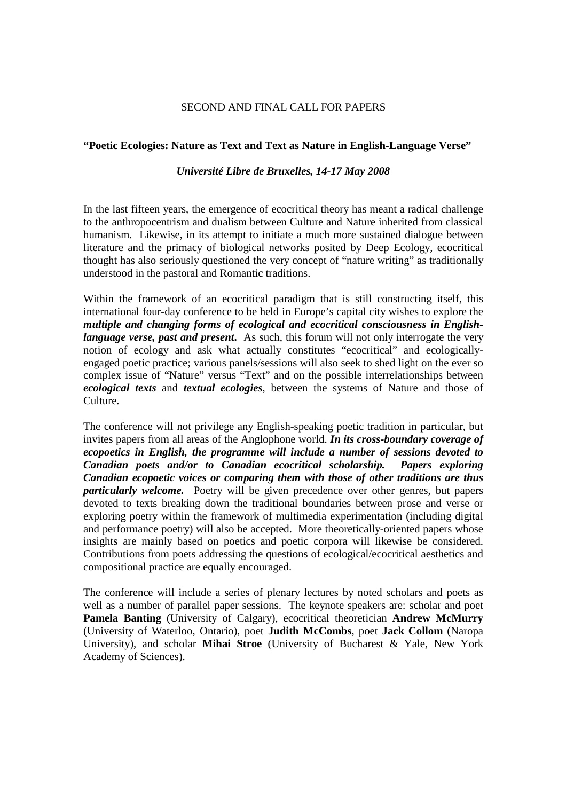## SECOND AND FINAL CALL FOR PAPERS

## **"Poetic Ecologies: Nature as Text and Text as Nature in English-Language Verse"**

## *Université Libre de Bruxelles, 14-17 May 2008*

In the last fifteen years, the emergence of ecocritical theory has meant a radical challenge to the anthropocentrism and dualism between Culture and Nature inherited from classical humanism. Likewise, in its attempt to initiate a much more sustained dialogue between literature and the primacy of biological networks posited by Deep Ecology, ecocritical thought has also seriously questioned the very concept of "nature writing" as traditionally understood in the pastoral and Romantic traditions.

Within the framework of an ecocritical paradigm that is still constructing itself, this international four-day conference to be held in Europe's capital city wishes to explore the *multiple and changing forms of ecological and ecocritical consciousness in Englishlanguage verse, past and present.* As such, this forum will not only interrogate the very notion of ecology and ask what actually constitutes "ecocritical" and ecologicallyengaged poetic practice; various panels/sessions will also seek to shed light on the ever so complex issue of "Nature" versus "Text" and on the possible interrelationships between *ecological texts* and *textual ecologies*, between the systems of Nature and those of Culture.

The conference will not privilege any English-speaking poetic tradition in particular, but invites papers from all areas of the Anglophone world. *In its cross-boundary coverage of ecopoetics in English, the programme will include a number of sessions devoted to Canadian poets and/or to Canadian ecocritical scholarship. Papers exploring Canadian ecopoetic voices or comparing them with those of other traditions are thus particularly welcome.* Poetry will be given precedence over other genres, but papers devoted to texts breaking down the traditional boundaries between prose and verse or exploring poetry within the framework of multimedia experimentation (including digital and performance poetry) will also be accepted. More theoretically-oriented papers whose insights are mainly based on poetics and poetic corpora will likewise be considered. Contributions from poets addressing the questions of ecological/ecocritical aesthetics and compositional practice are equally encouraged.

The conference will include a series of plenary lectures by noted scholars and poets as well as a number of parallel paper sessions. The keynote speakers are: scholar and poet **Pamela Banting** (University of Calgary), ecocritical theoretician **Andrew McMurry** (University of Waterloo, Ontario), poet **Judith McCombs**, poet **Jack Collom** (Naropa University), and scholar **Mihai Stroe** (University of Bucharest & Yale, New York Academy of Sciences).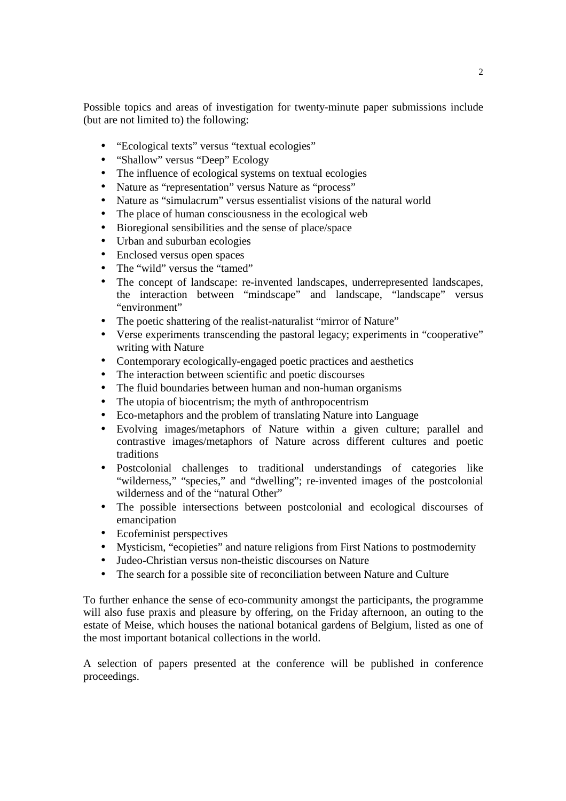Possible topics and areas of investigation for twenty-minute paper submissions include (but are not limited to) the following:

- "Ecological texts" versus "textual ecologies"
- "Shallow" versus "Deep" Ecology
- The influence of ecological systems on textual ecologies
- Nature as "representation" versus Nature as "process"
- Nature as "simulacrum" versus essentialist visions of the natural world
- The place of human consciousness in the ecological web
- Bioregional sensibilities and the sense of place/space
- Urban and suburban ecologies
- Enclosed versus open spaces
- The "wild" versus the "tamed"
- The concept of landscape: re-invented landscapes, underrepresented landscapes, the interaction between "mindscape" and landscape, "landscape" versus "environment"
- The poetic shattering of the realist-naturalist "mirror of Nature"
- Verse experiments transcending the pastoral legacy; experiments in "cooperative" writing with Nature
- Contemporary ecologically-engaged poetic practices and aesthetics
- The interaction between scientific and poetic discourses
- The fluid boundaries between human and non-human organisms
- The utopia of biocentrism; the myth of anthropocentrism
- Eco-metaphors and the problem of translating Nature into Language
- Evolving images/metaphors of Nature within a given culture; parallel and contrastive images/metaphors of Nature across different cultures and poetic traditions
- Postcolonial challenges to traditional understandings of categories like "wilderness," "species," and "dwelling"; re-invented images of the postcolonial wilderness and of the "natural Other"
- The possible intersections between postcolonial and ecological discourses of emancipation
- Ecofeminist perspectives
- Mysticism, "ecopieties" and nature religions from First Nations to postmodernity
- Judeo-Christian versus non-theistic discourses on Nature
- The search for a possible site of reconciliation between Nature and Culture

To further enhance the sense of eco-community amongst the participants, the programme will also fuse praxis and pleasure by offering, on the Friday afternoon, an outing to the estate of Meise, which houses the national botanical gardens of Belgium, listed as one of the most important botanical collections in the world.

A selection of papers presented at the conference will be published in conference proceedings.